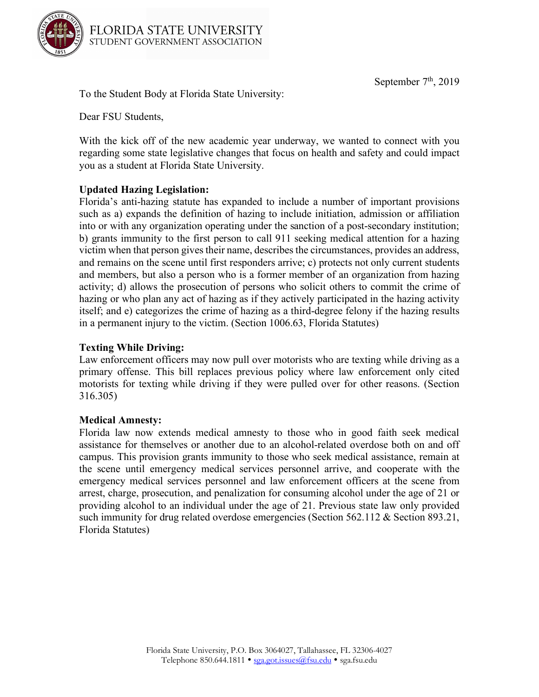September  $7<sup>th</sup>$ , 2019



To the Student Body at Florida State University:

Dear FSU Students,

With the kick off of the new academic year underway, we wanted to connect with you regarding some state legislative changes that focus on health and safety and could impact you as a student at Florida State University.

## **Updated Hazing Legislation:**

Florida's anti-hazing statute has expanded to include a number of important provisions such as a) expands the definition of hazing to include initiation, admission or affiliation into or with any organization operating under the sanction of a post-secondary institution; b) grants immunity to the first person to call 911 seeking medical attention for a hazing victim when that person gives their name, describes the circumstances, provides an address, and remains on the scene until first responders arrive; c) protects not only current students and members, but also a person who is a former member of an organization from hazing activity; d) allows the prosecution of persons who solicit others to commit the crime of hazing or who plan any act of hazing as if they actively participated in the hazing activity itself; and e) categorizes the crime of hazing as a third-degree felony if the hazing results in a permanent injury to the victim. (Section 1006.63, Florida Statutes)

## **Texting While Driving:**

Law enforcement officers may now pull over motorists who are texting while driving as a primary offense. This bill replaces previous policy where law enforcement only cited motorists for texting while driving if they were pulled over for other reasons. (Section 316.305)

## **Medical Amnesty:**

Florida law now extends medical amnesty to those who in good faith seek medical assistance for themselves or another due to an alcohol-related overdose both on and off campus. This provision grants immunity to those who seek medical assistance, remain at the scene until emergency medical services personnel arrive, and cooperate with the emergency medical services personnel and law enforcement officers at the scene from arrest, charge, prosecution, and penalization for consuming alcohol under the age of 21 or providing alcohol to an individual under the age of 21. Previous state law only provided such immunity for drug related overdose emergencies (Section 562.112 & Section 893.21, Florida Statutes)